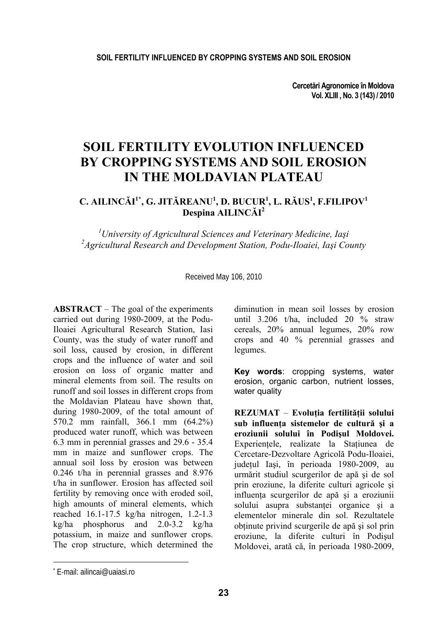**Cercetări Agronomice în Moldova Vol. XLIII , No. 3 (143) / 2010** 

# **SOIL FERTILITY EVOLUTION INFLUENCED BY CROPPING SYSTEMS AND SOIL EROSION IN THE MOLDAVIAN PLATEAU**

## **C. AILINCĂI 1\*, G. JITĂREANU<sup>1</sup> , D. BUCUR<sup>1</sup> , L. RĂUS<sup>1</sup> , F.FILIPOV<sup>1</sup> Despina AILINCĂI 2**

*1 University of Agricultural Sciences and Veterinary Medicine, Iaşi 2 Agricultural Research and Development Station, Podu-Iloaiei, Iaşi County* 

Received May 106, 2010

**ABSTRACT** – The goal of the experiments carried out during 1980-2009, at the Podu-Iloaiei Agricultural Research Station, Iasi County, was the study of water runoff and soil loss, caused by erosion, in different crops and the influence of water and soil erosion on loss of organic matter and mineral elements from soil. The results on runoff and soil losses in different crops from the Moldavian Plateau have shown that, during 1980-2009, of the total amount of 570.2 mm rainfall, 366.1 mm (64.2%) produced water runoff, which was between 6.3 mm in perennial grasses and 29.6 - 35.4 mm in maize and sunflower crops. The annual soil loss by erosion was between 0.246 t/ha in perennial grasses and 8.976 t/ha in sunflower. Erosion has affected soil fertility by removing once with eroded soil, high amounts of mineral elements, which reached 16.1-17.5 kg/ha nitrogen, 1.2-1.3 kg/ha phosphorus and 2.0-3.2 kg/ha potassium, in maize and sunflower crops. The crop structure, which determined the

diminution in mean soil losses by erosion until 3.206 t/ha, included 20 % straw cereals, 20% annual legumes, 20% row crops and 40 % perennial grasses and legumes.

**Key words**: cropping systems, water erosion, organic carbon, nutrient losses, water quality

**REZUMAT** – **Evoluţia fertilităţii solului sub influenţa sistemelor de cultură şi a eroziunii solului în Podişul Moldovei.**  Experientele, realizate la Statiunea de Cercetare-Dezvoltare Agricolă Podu-Iloaiei, judeţul Iaşi, în perioada 1980-2009, au urmărit studiul scurgerilor de apă şi de sol prin eroziune, la diferite culturi agricole şi influenta scurgerilor de apă și a eroziunii solului asupra substantei organice si a elementelor minerale din sol. Rezultatele obţinute privind scurgerile de apă şi sol prin eroziune, la diferite culturi în Podişul Moldovei, arată că, în perioada 1980-2009,

l

<sup>\*</sup> E-mail: ailincai@uaiasi.ro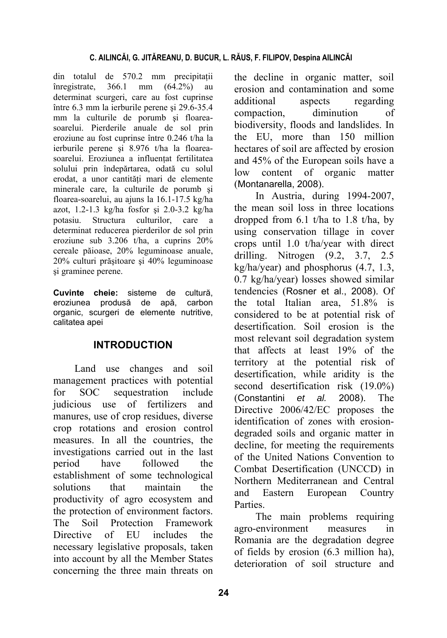din totalul de 570.2 mm precipitaţii înregistrate, 366.1 mm (64.2%) au determinat scurgeri, care au fost cuprinse între 6.3 mm la ierburile perene şi 29.6-35.4 mm la culturile de porumb şi floareasoarelui. Pierderile anuale de sol prin eroziune au fost cuprinse între 0.246 t/ha la ierburile perene şi 8.976 t/ha la floareasoarelui. Eroziunea a influentat fertilitatea solului prin îndepărtarea, odată cu solul erodat, a unor cantităţi mari de elemente minerale care, la culturile de porumb şi floarea-soarelui, au ajuns la 16.1-17.5 kg/ha azot, 1.2-1.3 kg/ha fosfor şi 2.0-3.2 kg/ha potasiu. Structura culturilor, care a determinat reducerea pierderilor de sol prin eroziune sub 3.206 t/ha, a cuprins 20% cereale păioase, 20% leguminoase anuale, 20% culturi prăşitoare şi 40% leguminoase şi graminee perene.

**Cuvinte cheie:** sisteme de cultură, eroziunea produsă de apă, carbon organic, scurgeri de elemente nutritive, calitatea apei

# **INTRODUCTION**

Land use changes and soil management practices with potential for SOC sequestration include judicious use of fertilizers and manures, use of crop residues, diverse crop rotations and erosion control measures. In all the countries, the investigations carried out in the last period have followed the establishment of some technological solutions that maintain the productivity of agro ecosystem and the protection of environment factors. The Soil Protection Framework Directive of EU includes the necessary legislative proposals, taken into account by all the Member States concerning the three main threats on the decline in organic matter, soil erosion and contamination and some additional aspects regarding compaction, diminution of biodiversity, floods and landslides. In the EU, more than 150 million hectares of soil are affected by erosion and 45% of the European soils have a low content of organic matter (Montanarella, 2008).

In Austria, during 1994-2007, the mean soil loss in three locations dropped from 6.1 t/ha to 1.8 t/ha, by using conservation tillage in cover crops until 1.0 t/ha/year with direct drilling. Nitrogen (9.2, 3.7, 2.5 kg/ha/year) and phosphorus (4.7, 1.3, 0.7 kg/ha/year) losses showed similar tendencies (Rosner et al., 2008). Of the total Italian area, 51.8% is considered to be at potential risk of desertification. Soil erosion is the most relevant soil degradation system that affects at least 19% of the territory at the potential risk of desertification, while aridity is the second desertification risk (19.0%) (Constantini *et al.* 2008). The Directive 2006/42/EC proposes the identification of zones with erosiondegraded soils and organic matter in decline, for meeting the requirements of the United Nations Convention to Combat Desertification (UNCCD) in Northern Mediterranean and Central and Eastern European Country **Parties** 

The main problems requiring agro-environment measures in Romania are the degradation degree of fields by erosion (6.3 million ha), deterioration of soil structure and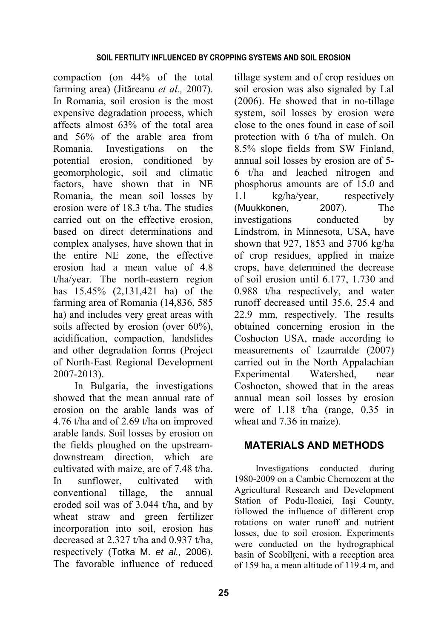compaction (on 44% of the total farming area) (Jităreanu *et al.,* 2007). In Romania, soil erosion is the most expensive degradation process, which affects almost 63% of the total area and 56% of the arable area from Romania. Investigations on the potential erosion, conditioned by geomorphologic, soil and climatic factors, have shown that in NE Romania, the mean soil losses by erosion were of 18.3 t/ha. The studies carried out on the effective erosion, based on direct determinations and complex analyses, have shown that in the entire NE zone, the effective erosion had a mean value of 4.8 t/ha/year. The north-eastern region has 15.45% (2,131,421 ha) of the farming area of Romania (14,836, 585 ha) and includes very great areas with soils affected by erosion (over 60%), acidification, compaction, landslides and other degradation forms (Project of North-East Regional Development 2007-2013).

In Bulgaria, the investigations showed that the mean annual rate of erosion on the arable lands was of 4.76 t/ha and of 2.69 t/ha on improved arable lands. Soil losses by erosion on the fields ploughed on the upstreamdownstream direction, which are cultivated with maize, are of 7.48 t/ha. In sunflower cultivated with conventional tillage, the annual eroded soil was of 3.044 t/ha, and by wheat straw and green fertilizer incorporation into soil, erosion has decreased at 2.327 t/ha and 0.937 t/ha, respectively (Totka M. *et al.,* 2006). The favorable influence of reduced tillage system and of crop residues on soil erosion was also signaled by Lal (2006). He showed that in no-tillage system, soil losses by erosion were close to the ones found in case of soil protection with 6 t/ha of mulch. On 8.5% slope fields from SW Finland, annual soil losses by erosion are of 5- 6 t/ha and leached nitrogen and phosphorus amounts are of 15.0 and 1.1 kg/ha/year, respectively (Muukkonen, 2007). The investigations conducted by Lindstrom, in Minnesota, USA, have shown that 927, 1853 and 3706 kg/ha of crop residues, applied in maize crops, have determined the decrease of soil erosion until 6.177, 1.730 and 0.988 t/ha respectively, and water runoff decreased until 35.6, 25.4 and 22.9 mm, respectively. The results obtained concerning erosion in the Coshocton USA, made according to measurements of Izaurralde (2007) carried out in the North Appalachian Experimental Watershed, near Coshocton, showed that in the areas annual mean soil losses by erosion were of 1.18 t/ha (range, 0.35 in wheat and 7.36 in maize).

# **MATERIALS AND METHODS**

Investigations conducted during 1980-2009 on a Cambic Chernozem at the Agricultural Research and Development Station of Podu-Iloaiei, Iaşi County, followed the influence of different crop rotations on water runoff and nutrient losses, due to soil erosion. Experiments were conducted on the hydrographical basin of Scobîlteni, with a reception area of 159 ha, a mean altitude of 119.4 m, and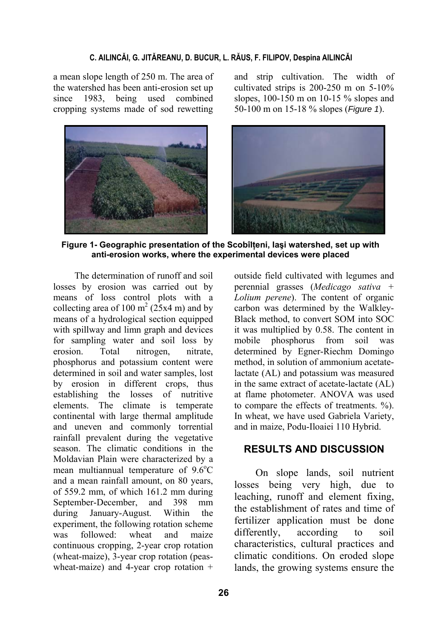### **C. AILINCĂI, G. JITĂREANU, D. BUCUR, L. RĂUS, F. FILIPOV, Despina AILINCĂI**

a mean slope length of 250 m. The area of the watershed has been anti-erosion set up since 1983, being used combined cropping systems made of sod rewetting



and strip cultivation. The width of cultivated strips is 200-250 m on 5-10% slopes, 100-150 m on 10-15 % slopes and 50-100 m on 15-18 % slopes (*Figure 1*).



**Figure 1- Geographic presentation of the Scobîlţeni, Iaşi watershed, set up with anti-erosion works, where the experimental devices were placed**

The determination of runoff and soil losses by erosion was carried out by means of loss control plots with a collecting area of 100  $m^2$  (25x4 m) and by means of a hydrological section equipped with spillway and limn graph and devices for sampling water and soil loss by erosion. Total nitrogen, nitrate, phosphorus and potassium content were determined in soil and water samples, lost by erosion in different crops, thus establishing the losses of nutritive elements. The climate is temperate continental with large thermal amplitude and uneven and commonly torrential rainfall prevalent during the vegetative season. The climatic conditions in the Moldavian Plain were characterized by a mean multiannual temperature of  $9.6^{\circ}$ C and a mean rainfall amount, on 80 years, of 559.2 mm, of which 161.2 mm during September-December, and 398 mm during January-August. Within the experiment, the following rotation scheme was followed: wheat and maize continuous cropping, 2-year crop rotation (wheat-maize), 3-year crop rotation (peaswheat-maize) and 4-year crop rotation +

outside field cultivated with legumes and perennial grasses (*Medicago sativa + Lolium perene*). The content of organic carbon was determined by the Walkley-Black method, to convert SOM into SOC it was multiplied by 0.58. The content in mobile phosphorus from soil was determined by Egner-Riechm Domingo method, in solution of ammonium acetatelactate (AL) and potassium was measured in the same extract of acetate-lactate (AL) at flame photometer. ANOVA was used to compare the effects of treatments. %). In wheat, we have used Gabriela Variety, and in maize, Podu-Iloaiei 110 Hybrid.

# **RESULTS AND DISCUSSION**

On slope lands, soil nutrient losses being very high, due to leaching, runoff and element fixing, the establishment of rates and time of fertilizer application must be done differently, according to soil characteristics, cultural practices and climatic conditions. On eroded slope lands, the growing systems ensure the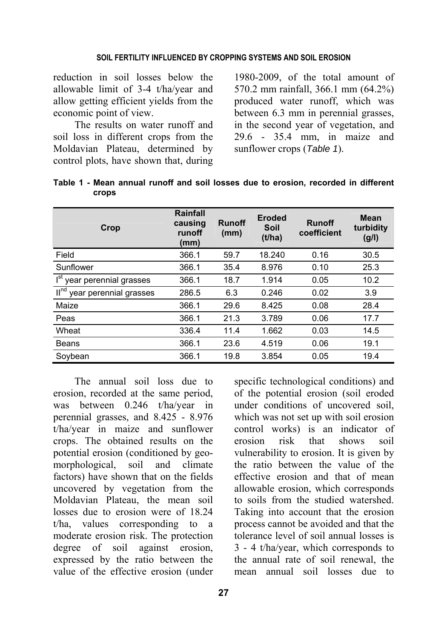#### **SOIL FERTILITY INFLUENCED BY CROPPING SYSTEMS AND SOIL EROSION**

reduction in soil losses below the allowable limit of 3-4 t/ha/year and allow getting efficient yields from the economic point of view.

The results on water runoff and soil loss in different crops from the Moldavian Plateau, determined by control plots, have shown that, during

1980-2009, of the total amount of 570.2 mm rainfall, 366.1 mm (64.2%) produced water runoff, which was between 6.3 mm in perennial grasses, in the second year of vegetation, and 29.6 - 35.4 mm, in maize and sunflower crops (*Table 1*).

| Crop                                       | <b>Rainfall</b><br>causing<br>runoff<br>(mm) | <b>Runoff</b><br>(mm) | <b>Eroded</b><br>Soil<br>(t/ha) | <b>Runoff</b><br>coefficient | Mean<br>turbidity<br>(g/l) |
|--------------------------------------------|----------------------------------------------|-----------------------|---------------------------------|------------------------------|----------------------------|
| Field                                      | 366.1                                        | 59.7                  | 18.240                          | 0.16                         | 30.5                       |
| Sunflower                                  | 366.1                                        | 35.4                  | 8.976                           | 0.10                         | 25.3                       |
| I <sup>st</sup> year perennial grasses     | 366.1                                        | 18.7                  | 1.914                           | 0.05                         | 10.2                       |
| II <sub>ud</sub><br>year perennial grasses | 286.5                                        | 6.3                   | 0.246                           | 0.02                         | 3.9                        |
| Maize                                      | 366.1                                        | 29.6                  | 8.425                           | 0.08                         | 28.4                       |
| Peas                                       | 366.1                                        | 21.3                  | 3.789                           | 0.06                         | 17.7                       |
| Wheat                                      | 336.4                                        | 11.4                  | 1.662                           | 0.03                         | 14.5                       |
| <b>Beans</b>                               | 366.1                                        | 23.6                  | 4.519                           | 0.06                         | 19.1                       |
| Soybean                                    | 366.1                                        | 19.8                  | 3.854                           | 0.05                         | 19.4                       |

**Table 1 - Mean annual runoff and soil losses due to erosion, recorded in different crops** 

The annual soil loss due to erosion, recorded at the same period, was between 0.246 t/ha/year in perennial grasses, and 8.425 - 8.976 t/ha/year in maize and sunflower crops. The obtained results on the potential erosion (conditioned by geomorphological, soil and climate factors) have shown that on the fields uncovered by vegetation from the Moldavian Plateau, the mean soil losses due to erosion were of 18.24 t/ha, values corresponding to a moderate erosion risk. The protection degree of soil against erosion, expressed by the ratio between the value of the effective erosion (under

specific technological conditions) and of the potential erosion (soil eroded under conditions of uncovered soil, which was not set up with soil erosion control works) is an indicator of erosion risk that shows soil vulnerability to erosion. It is given by the ratio between the value of the effective erosion and that of mean allowable erosion, which corresponds to soils from the studied watershed. Taking into account that the erosion process cannot be avoided and that the tolerance level of soil annual losses is 3 - 4 t/ha/year, which corresponds to the annual rate of soil renewal, the mean annual soil losses due to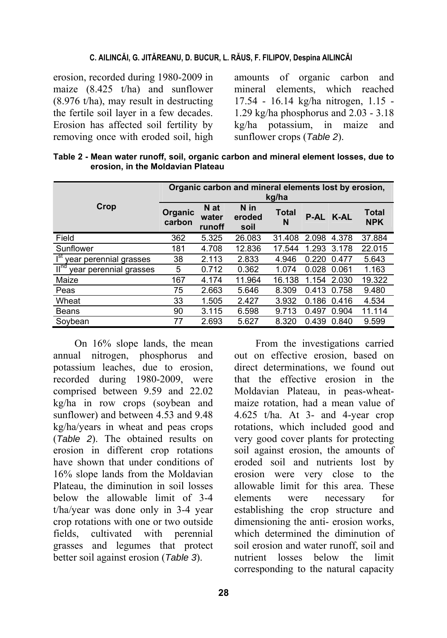#### **C. AILINCĂI, G. JITĂREANU, D. BUCUR, L. RĂUS, F. FILIPOV, Despina AILINCĂI**

erosion, recorded during 1980-2009 in maize (8.425 t/ha) and sunflower (8.976 t/ha), may result in destructing the fertile soil layer in a few decades. Erosion has affected soil fertility by removing once with eroded soil, high

amounts of organic carbon and mineral elements, which reached 17.54 - 16.14 kg/ha nitrogen, 1.15 - 1.29 kg/ha phosphorus and 2.03 - 3.18 kg/ha potassium, in maize and sunflower crops (*Table 2*).

| erosion, in the Moldavian Plateau | Table 2 - Mcall Water Tallon, Son, Organic Carbon and mineral cicinent 103363, due to |
|-----------------------------------|---------------------------------------------------------------------------------------|
|                                   | Organic carbon and mineral elements lost by erosion.<br>$k$ alha                      |

**Table 2 - Mean water runoff, soil, organic carbon and mineral element losses, due to** 

|                                                    | <u>Urganic Carbon and mineral Gignients IOSL by GroSion,</u><br>kg/ha |                         |                        |                   |             |       |                            |  |  |  |
|----------------------------------------------------|-----------------------------------------------------------------------|-------------------------|------------------------|-------------------|-------------|-------|----------------------------|--|--|--|
| Crop                                               | Organic<br>carbon                                                     | N at<br>water<br>runoff | N in<br>eroded<br>soil | <b>Total</b><br>N | <b>P-AL</b> | K-AL  | <b>Total</b><br><b>NPK</b> |  |  |  |
| Field                                              | 362                                                                   | 5.325                   | 26.083                 | 31.408            | 2.098       | 4.378 | 37.884                     |  |  |  |
| Sunflower                                          | 181                                                                   | 4.708                   | 12.836                 | 17.544            | 1.293       | 3.178 | 22.015                     |  |  |  |
| I <sup>st</sup><br>year perennial grasses          | 38                                                                    | 2.113                   | 2.833                  | 4.946             | 0.220       | 0.477 | 5.643                      |  |  |  |
| $\mathbb{H}^{\text{nd}}$<br>year perennial grasses | 5                                                                     | 0.712                   | 0.362                  | 1.074             | 0.028       | 0.061 | 1.163                      |  |  |  |
| Maize                                              | 167                                                                   | 4.174                   | 11.964                 | 16.138            | 1.154       | 2.030 | 19.322                     |  |  |  |
| Peas                                               | 75                                                                    | 2.663                   | 5.646                  | 8.309             | 0.413       | 0.758 | 9.480                      |  |  |  |
| Wheat                                              | 33                                                                    | 1.505                   | 2.427                  | 3.932             | 0.186       | 0.416 | 4.534                      |  |  |  |
| <b>Beans</b>                                       | 90                                                                    | 3.115                   | 6.598                  | 9.713             | 0.497       | 0.904 | 11.114                     |  |  |  |
| Soybean                                            | 77                                                                    | 2.693                   | 5.627                  | 8.320             | 0.439       | 0.840 | 9.599                      |  |  |  |

On 16% slope lands, the mean annual nitrogen, phosphorus and potassium leaches, due to erosion, recorded during 1980-2009, were comprised between 9.59 and 22.02 kg/ha in row crops (soybean and sunflower) and between 4.53 and 9.48 kg/ha/years in wheat and peas crops (*Table 2*). The obtained results on erosion in different crop rotations have shown that under conditions of 16% slope lands from the Moldavian Plateau, the diminution in soil losses below the allowable limit of 3-4 t/ha/year was done only in 3-4 year crop rotations with one or two outside fields, cultivated with perennial grasses and legumes that protect better soil against erosion (*Table 3*).

From the investigations carried out on effective erosion, based on direct determinations, we found out that the effective erosion in the Moldavian Plateau, in peas-wheatmaize rotation, had a mean value of 4.625 t/ha. At 3- and 4-year crop rotations, which included good and very good cover plants for protecting soil against erosion, the amounts of eroded soil and nutrients lost by erosion were very close to the allowable limit for this area. These elements were necessary for establishing the crop structure and dimensioning the anti- erosion works, which determined the diminution of soil erosion and water runoff, soil and nutrient losses below the limit corresponding to the natural capacity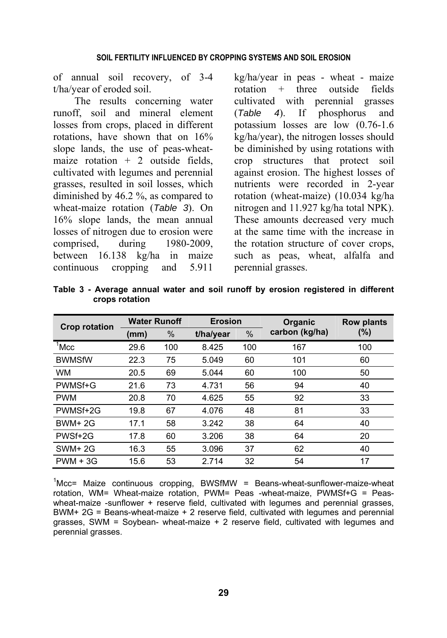of annual soil recovery, of 3-4 t/ha/year of eroded soil.

The results concerning water runoff, soil and mineral element losses from crops, placed in different rotations, have shown that on 16% slope lands, the use of peas-wheatmaize rotation  $+ 2$  outside fields, cultivated with legumes and perennial grasses, resulted in soil losses, which diminished by 46.2 %, as compared to wheat-maize rotation (*Table 3*). On 16% slope lands, the mean annual losses of nitrogen due to erosion were comprised, during 1980-2009, between 16.138 kg/ha in maize continuous cropping and 5.911

kg/ha/year in peas - wheat - maize rotation + three outside fields cultivated with perennial grasses (*Table 4*). If phosphorus and potassium losses are low (0.76-1.6 kg/ha/year), the nitrogen losses should be diminished by using rotations with crop structures that protect soil against erosion. The highest losses of nutrients were recorded in 2-year rotation (wheat-maize) (10.034 kg/ha nitrogen and 11.927 kg/ha total NPK). These amounts decreased very much at the same time with the increase in the rotation structure of cover crops, such as peas, wheat, alfalfa and perennial grasses.

|                      | <b>Water Runoff</b> |     | <b>Erosion</b> |      | <b>Organic</b> | <b>Row plants</b> |  |
|----------------------|---------------------|-----|----------------|------|----------------|-------------------|--|
| <b>Crop rotation</b> | (mm)                | %   | t/ha/year      | $\%$ | carbon (kg/ha) | (%)               |  |
| $1$ Mcc              | 29.6                | 100 | 8.425          | 100  | 167            | 100               |  |
| <b>BWMSfW</b>        | 22.3                | 75  | 5.049          | 60   | 101            | 60                |  |
| <b>WM</b>            | 20.5                | 69  | 5.044          | 60   | 100            | 50                |  |
| PWMSf+G              | 21.6                | 73  | 4.731          | 56   | 94             | 40                |  |
| <b>PWM</b>           | 20.8                | 70  | 4.625          | 55   | 92             | 33                |  |
| PWMSf+2G             | 19.8                | 67  | 4.076          | 48   | 81             | 33                |  |
| $BWM+2G$             | 17.1                | 58  | 3.242          | 38   | 64             | 40                |  |
| PWSf+2G              | 17.8                | 60  | 3.206          | 38   | 64             | 20                |  |
| <b>SWM+2G</b>        | 16.3                | 55  | 3.096          | 37   | 62             | 40                |  |
| $PWM + 3G$           | 15.6                | 53  | 2.714          | 32   | 54             | 17                |  |

**Table 3 - Average annual water and soil runoff by erosion registered in different crops rotation** 

 $1$ Mcc= Maize continuous cropping, BWSfMW = Beans-wheat-sunflower-maize-wheat rotation, WM= Wheat-maize rotation, PWM= Peas -wheat-maize, PWMSf+G = Peaswheat-maize -sunflower + reserve field, cultivated with legumes and perennial grasses, BWM+ 2G = Beans-wheat-maize + 2 reserve field, cultivated with legumes and perennial grasses, SWM = Soybean- wheat-maize + 2 reserve field, cultivated with legumes and perennial grasses.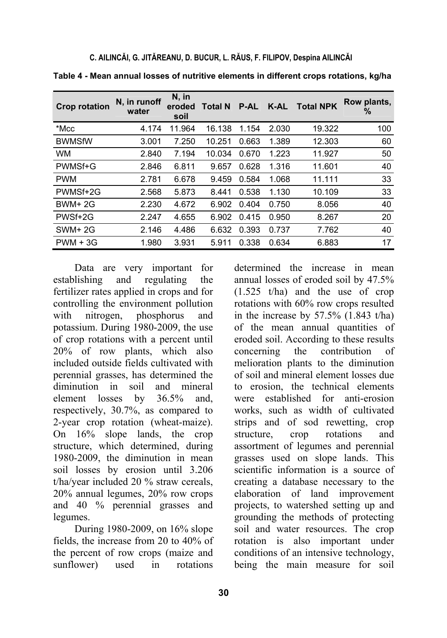| <b>Crop rotation</b> | N, in runoff<br>water | N, in<br>eroded<br>soil | <b>Total N</b> | <b>P-AL</b> | K-AL  | <b>Total NPK</b> | Row plants,<br>% |
|----------------------|-----------------------|-------------------------|----------------|-------------|-------|------------------|------------------|
| *Mcc                 | 4.174                 | 11.964                  | 16.138         | 1.154       | 2.030 | 19.322           | 100              |
| <b>BWMSfW</b>        | 3.001                 | 7.250                   | 10.251         | 0.663       | 1.389 | 12.303           | 60               |
| <b>WM</b>            | 2.840                 | 7.194                   | 10.034         | 0.670       | 1.223 | 11.927           | 50               |
| PWMSf+G              | 2.846                 | 6.811                   | 9.657          | 0.628       | 1.316 | 11.601           | 40               |
| <b>PWM</b>           | 2.781                 | 6.678                   | 9.459          | 0.584       | 1.068 | 11.111           | 33               |
| PWMSf+2G             | 2.568                 | 5.873                   | 8.441          | 0.538       | 1.130 | 10.109           | 33               |
| <b>BWM+2G</b>        | 2.230                 | 4.672                   | 6.902          | 0.404       | 0.750 | 8.056            | 40               |
| PWSf+2G              | 2.247                 | 4.655                   | 6.902          | 0.415       | 0.950 | 8.267            | 20               |
| <b>SWM+2G</b>        | 2.146                 | 4.486                   | 6.632          | 0.393       | 0.737 | 7.762            | 40               |
| $PWM + 3G$           | 1.980                 | 3.931                   | 5.911          | 0.338       | 0.634 | 6.883            | 17               |

**Table 4 - Mean annual losses of nutritive elements in different crops rotations, kg/ha** 

Data are very important for establishing and regulating the fertilizer rates applied in crops and for controlling the environment pollution with nitrogen, phosphorus and potassium. During 1980-2009, the use of crop rotations with a percent until 20% of row plants, which also included outside fields cultivated with perennial grasses, has determined the diminution in soil and mineral element losses by 36.5% and, respectively, 30.7%, as compared to 2-year crop rotation (wheat-maize). On 16% slope lands, the crop structure, which determined, during 1980-2009, the diminution in mean soil losses by erosion until 3.206 t/ha/year included 20 % straw cereals, 20% annual legumes, 20% row crops and 40 % perennial grasses and legumes.

During 1980-2009, on 16% slope fields, the increase from 20 to 40% of the percent of row crops (maize and sunflower) used in rotations

determined the increase in mean annual losses of eroded soil by 47.5% (1.525 t/ha) and the use of crop rotations with 60% row crops resulted in the increase by  $57.5\%$  (1.843 t/ha) of the mean annual quantities of eroded soil. According to these results concerning the contribution of melioration plants to the diminution of soil and mineral element losses due to erosion, the technical elements were established for anti-erosion works, such as width of cultivated strips and of sod rewetting, crop structure, crop rotations and assortment of legumes and perennial grasses used on slope lands. This scientific information is a source of creating a database necessary to the elaboration of land improvement projects, to watershed setting up and grounding the methods of protecting soil and water resources. The crop rotation is also important under conditions of an intensive technology, being the main measure for soil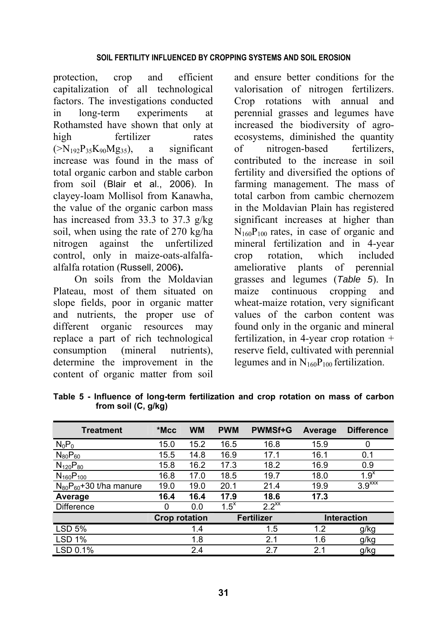### **SOIL FERTILITY INFLUENCED BY CROPPING SYSTEMS AND SOIL EROSION**

protection, crop and efficient capitalization of all technological factors. The investigations conducted in long-term experiments at Rothamsted have shown that only at high fertilizer rates  $(\geq N_{192}P_{35}K_{90}Mg_{35})$ , a significant increase was found in the mass of total organic carbon and stable carbon from soil (Blair et al., 2006). In clayey-loam Mollisol from Kanawha, the value of the organic carbon mass has increased from 33.3 to 37.3 g/kg soil, when using the rate of 270 kg/ha nitrogen against the unfertilized control, only in maize-oats-alfalfaalfalfa rotation (Russell, 2006**).**

On soils from the Moldavian Plateau, most of them situated on slope fields, poor in organic matter and nutrients, the proper use of different organic resources may replace a part of rich technological consumption (mineral nutrients), determine the improvement in the content of organic matter from soil and ensure better conditions for the valorisation of nitrogen fertilizers. Crop rotations with annual and perennial grasses and legumes have increased the biodiversity of agroecosystems, diminished the quantity of nitrogen-based fertilizers, contributed to the increase in soil fertility and diversified the options of farming management. The mass of total carbon from cambic chernozem in the Moldavian Plain has registered significant increases at higher than  $N_{160}P_{100}$  rates, in case of organic and mineral fertilization and in 4-year crop rotation, which included ameliorative plants of perennial grasses and legumes (*Table 5*). In maize continuous cropping and wheat-maize rotation, very significant values of the carbon content was found only in the organic and mineral fertilization, in 4-year crop rotation + reserve field, cultivated with perennial legumes and in  $N_{160}P_{100}$  fertilization.

| <b>Treatment</b>              | *Mcc                 | <b>WM</b> | <b>PWM</b> | <b>PWMSf+G</b>    | Average | <b>Difference</b>    |
|-------------------------------|----------------------|-----------|------------|-------------------|---------|----------------------|
| $N_0P_0$                      | 15.0                 | 15.2      | 16.5       | 16.8              | 15.9    | $\Omega$             |
| $N_{80}P_{60}$                | 15.5                 | 14.8      | 16.9       | 17.1              | 16.1    | 0.1                  |
| $N_{120}P_{80}$               | 15.8                 | 16.2      | 17.3       | 18.2              | 16.9    | 0.9                  |
| $N_{160}P_{100}$              | 16.8                 | 17.0      | 18.5       | 19.7              | 18.0    | 1.9 <sup>x</sup>     |
| $N_{80}P_{60}+30$ t/ha manure | 19.0                 | 19.0      | 20.1       | 21.4              | 19.9    | $3.9$ <sup>xxx</sup> |
| Average                       | 16.4                 | 16.4      | 17.9       | 18.6              | 17.3    |                      |
| Difference                    | 0                    | 0.0       | $1.5^x$    | $2.2^{xx}$        |         |                      |
|                               | <b>Crop rotation</b> |           |            | <b>Fertilizer</b> |         | <b>Interaction</b>   |
| <b>LSD 5%</b>                 |                      | 1.4       |            | 1.5               | 1.2     | g/kg                 |
| <b>LSD 1%</b>                 |                      | 1.8       |            | 2.1               | 1.6     | g/kg                 |
| LSD 0.1%                      |                      | 2.4       |            | 2.7               | 2.1     | g/kg                 |

**Table 5 - Influence of long-term fertilization and crop rotation on mass of carbon from soil (C, g/kg)**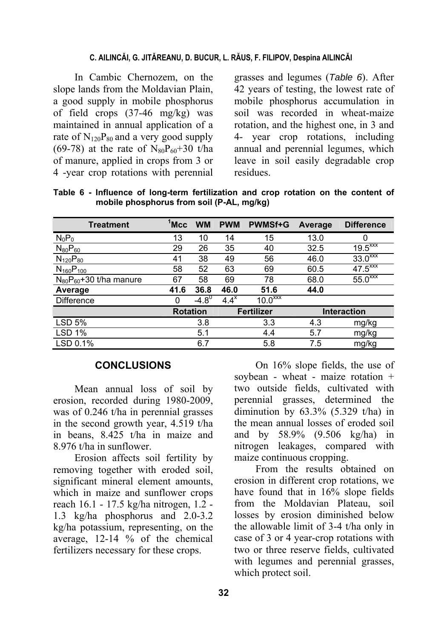#### **C. AILINCĂI, G. JITĂREANU, D. BUCUR, L. RĂUS, F. FILIPOV, Despina AILINCĂI**

In Cambic Chernozem, on the slope lands from the Moldavian Plain, a good supply in mobile phosphorus of field crops (37-46 mg/kg) was maintained in annual application of a rate of  $N_{120}P_{80}$  and a very good supply (69-78) at the rate of  $N_{80}P_{60}+30$  t/ha of manure, applied in crops from 3 or 4 -year crop rotations with perennial grasses and legumes (*Table 6*). After 42 years of testing, the lowest rate of mobile phosphorus accumulation in soil was recorded in wheat-maize rotation, and the highest one, in 3 and 4- year crop rotations, including annual and perennial legumes, which leave in soil easily degradable crop residues.

|  |  | Table 6 - Influence of long-term fertilization and crop rotation on the content of |  |  |  |  |
|--|--|------------------------------------------------------------------------------------|--|--|--|--|
|  |  | mobile phosphorus from soil (P-AL, mg/kg)                                          |  |  |  |  |

| <b>Treatment</b>              | $1$ Mcc | <b>WM</b>       | <b>PWM</b> | <b>PWMSf+G</b>     | Average | <b>Difference</b>              |
|-------------------------------|---------|-----------------|------------|--------------------|---------|--------------------------------|
| $N_0P_0$                      | 13      | 10              | 14         | 15                 | 13.0    | 0                              |
| $N_{80}P_{60}$                | 29      | 26              | 35         | 40                 | 32.5    | $19.5^{\overline{\text{XXX}}}$ |
| $N_{120}P_{80}$               | 41      | 38              | 49         | 56                 | 46.0    | $33.0^{x}$                     |
| $N_{160}P_{100}$              | 58      | 52              | 63         | 69                 | 60.5    | $47.\overline{5^{xxx}}$        |
| $N_{80}P_{60}+30$ t/ha manure | 67      | 58              | 69         | 78                 | 68.0    | $55.0$ <sup>xxx</sup>          |
| Average                       | 41.6    | 36.8            | 46.0       | 51.6               | 44.0    |                                |
| Difference                    | 0       | $-4.8^{0}$      | $4.4^x$    | 10.0 <sup>xx</sup> |         |                                |
|                               |         | <b>Rotation</b> |            | <b>Fertilizer</b>  |         | <b>Interaction</b>             |
| <b>LSD 5%</b>                 |         | 3.8             |            | 3.3                | 4.3     | mg/kg                          |
| <b>LSD 1%</b>                 |         | 5.1             |            | 4.4                | 5.7     | mg/kg                          |
| LSD 0.1%                      |         | 6.7             |            | 5.8                | 7.5     | mg/kg                          |

#### **CONCLUSIONS**

Mean annual loss of soil by erosion, recorded during 1980-2009, was of 0.246 t/ha in perennial grasses in the second growth year, 4.519 t/ha in beans, 8.425 t/ha in maize and 8.976 t/ha in sunflower.

Erosion affects soil fertility by removing together with eroded soil, significant mineral element amounts, which in maize and sunflower crops reach 16.1 - 17.5 kg/ha nitrogen, 1.2 - 1.3 kg/ha phosphorus and 2.0-3.2 kg/ha potassium, representing, on the average, 12-14 % of the chemical fertilizers necessary for these crops.

On 16% slope fields, the use of soybean - wheat - maize rotation + two outside fields, cultivated with perennial grasses, determined the diminution by  $63.3\%$   $(5.329 \text{ t/ha})$  in the mean annual losses of eroded soil and by 58.9% (9.506 kg/ha) in nitrogen leakages, compared with maize continuous cropping.

From the results obtained on erosion in different crop rotations, we have found that in 16% slope fields from the Moldavian Plateau, soil losses by erosion diminished below the allowable limit of 3-4 t/ha only in case of 3 or 4 year-crop rotations with two or three reserve fields, cultivated with legumes and perennial grasses, which protect soil.